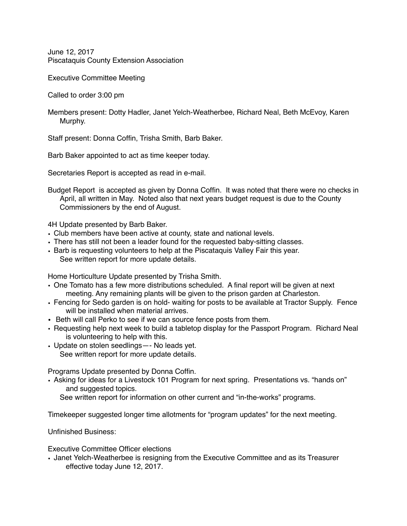June 12, 2017 Piscataquis County Extension Association

Executive Committee Meeting

Called to order 3:00 pm

Members present: Dotty Hadler, Janet Yelch-Weatherbee, Richard Neal, Beth McEvoy, Karen Murphy.

Staff present: Donna Coffin, Trisha Smith, Barb Baker.

Barb Baker appointed to act as time keeper today.

Secretaries Report is accepted as read in e-mail.

Budget Report is accepted as given by Donna Coffin. It was noted that there were no checks in April, all written in May. Noted also that next years budget request is due to the County Commissioners by the end of August.

4H Update presented by Barb Baker.

- Club members have been active at county, state and national levels.
- There has still not been a leader found for the requested baby-sitting classes.
- Barb is requesting volunteers to help at the Piscataquis Valley Fair this year. See written report for more update details.

Home Horticulture Update presented by Trisha Smith.

- One Tomato has a few more distributions scheduled. A final report will be given at next meeting. Any remaining plants will be given to the prison garden at Charleston.
- Fencing for Sedo garden is on hold- waiting for posts to be available at Tractor Supply. Fence will be installed when material arrives
- Beth will call Perko to see if we can source fence posts from them.
- Requesting help next week to build a tabletop display for the Passport Program. Richard Neal is volunteering to help with this.
- Update on stolen seedlings—- No leads yet. See written report for more update details.

Programs Update presented by Donna Coffin.

• Asking for ideas for a Livestock 101 Program for next spring. Presentations vs. "hands on" and suggested topics.

See written report for information on other current and "in-the-works" programs.

Timekeeper suggested longer time allotments for "program updates" for the next meeting.

Unfinished Business:

Executive Committee Officer elections

• Janet Yelch-Weatherbee is resigning from the Executive Committee and as its Treasurer effective today June 12, 2017.